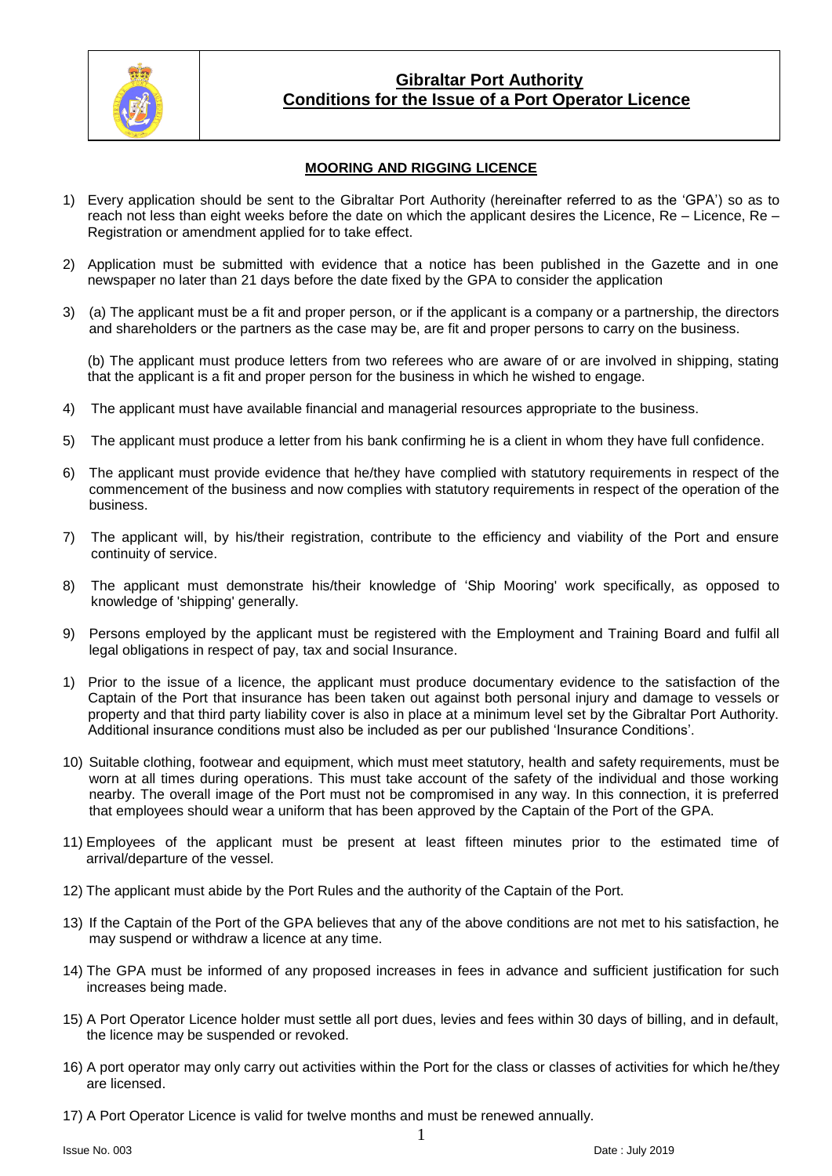

## **Gibraltar Port Authority Conditions for the Issue of a Port Operator Licence**

### **MOORING AND RIGGING LICENCE**

- 1) Every application should be sent to the Gibraltar Port Authority (hereinafter referred to as the 'GPA') so as to reach not less than eight weeks before the date on which the applicant desires the Licence, Re – Licence, Re – Registration or amendment applied for to take effect.
- 2) Application must be submitted with evidence that a notice has been published in the Gazette and in one newspaper no later than 21 days before the date fixed by the GPA to consider the application
- 3) (a) The applicant must be a fit and proper person, or if the applicant is a company or a partnership, the directors and shareholders or the partners as the case may be, are fit and proper persons to carry on the business.

(b) The applicant must produce letters from two referees who are aware of or are involved in shipping, stating that the applicant is a fit and proper person for the business in which he wished to engage.

- 4) The applicant must have available financial and managerial resources appropriate to the business.
- 5) The applicant must produce a letter from his bank confirming he is a client in whom they have full confidence.
- 6) The applicant must provide evidence that he/they have complied with statutory requirements in respect of the commencement of the business and now complies with statutory requirements in respect of the operation of the business.
- 7) The applicant will, by his/their registration, contribute to the efficiency and viability of the Port and ensure continuity of service.
- 8) The applicant must demonstrate his/their knowledge of 'Ship Mooring' work specifically, as opposed to knowledge of 'shipping' generally.
- 9) Persons employed by the applicant must be registered with the Employment and Training Board and fulfil all legal obligations in respect of pay, tax and social Insurance.
- 1) Prior to the issue of a licence, the applicant must produce documentary evidence to the satisfaction of the Captain of the Port that insurance has been taken out against both personal injury and damage to vessels or property and that third party liability cover is also in place at a minimum level set by the Gibraltar Port Authority. Additional insurance conditions must also be included as per our published 'Insurance Conditions'.
- 10) Suitable clothing, footwear and equipment, which must meet statutory, health and safety requirements, must be worn at all times during operations. This must take account of the safety of the individual and those working nearby. The overall image of the Port must not be compromised in any way. In this connection, it is preferred that employees should wear a uniform that has been approved by the Captain of the Port of the GPA.
- 11) Employees of the applicant must be present at least fifteen minutes prior to the estimated time of arrival/departure of the vessel.
- 12) The applicant must abide by the Port Rules and the authority of the Captain of the Port.
- 13) If the Captain of the Port of the GPA believes that any of the above conditions are not met to his satisfaction, he may suspend or withdraw a licence at any time.
- 14) The GPA must be informed of any proposed increases in fees in advance and sufficient justification for such increases being made.
- 15) A Port Operator Licence holder must settle all port dues, levies and fees within 30 days of billing, and in default, the licence may be suspended or revoked.
- 16) A port operator may only carry out activities within the Port for the class or classes of activities for which he/they are licensed.
- 17) A Port Operator Licence is valid for twelve months and must be renewed annually.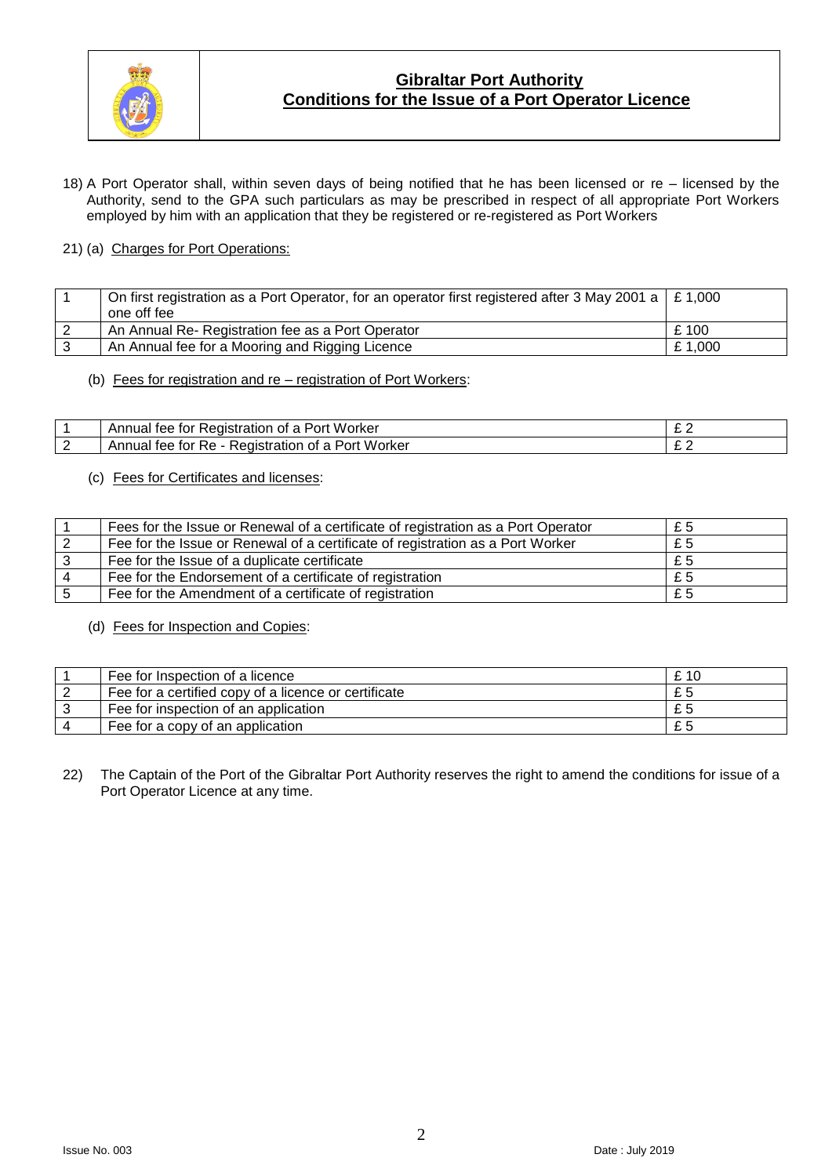

# **Gibraltar Port Authority Conditions for the Issue of a Port Operator Licence**

18) A Port Operator shall, within seven days of being notified that he has been licensed or re – licensed by the Authority, send to the GPA such particulars as may be prescribed in respect of all appropriate Port Workers employed by him with an application that they be registered or re-registered as Port Workers

#### 21) (a) Charges for Port Operations:

| On first registration as a Port Operator, for an operator first registered after 3 May 2001 a $\mid$ £ 1,000 |        |
|--------------------------------------------------------------------------------------------------------------|--------|
| one off fee                                                                                                  |        |
| An Annual Re- Registration fee as a Port Operator                                                            | £100   |
| An Annual fee for a Mooring and Rigging Licence                                                              | £1,000 |

#### (b) Fees for registration and re – registration of Port Workers:

| Worker<br>tor<br>tee<br>∴edistration ∈<br>OT<br>POIT<br>Annud.     | $\overline{\phantom{a}}$ |
|--------------------------------------------------------------------|--------------------------|
| . Worker<br>tor<br>Redistration<br>КA<br>. OT 2<br>Tee<br>∍∍⊔nua⊑∵ |                          |

(c) Fees for Certificates and licenses:

|    | Fees for the Issue or Renewal of a certificate of registration as a Port Operator | £5 |
|----|-----------------------------------------------------------------------------------|----|
|    | Fee for the Issue or Renewal of a certificate of registration as a Port Worker    | £5 |
|    | Fee for the Issue of a duplicate certificate                                      | £5 |
|    | Fee for the Endorsement of a certificate of registration                          | £5 |
| -5 | Fee for the Amendment of a certificate of registration                            | £5 |

(d) Fees for Inspection and Copies:

| Fee for Inspection of a licence                      | £10 |
|------------------------------------------------------|-----|
| Fee for a certified copy of a licence or certificate | £5  |
| Fee for inspection of an application                 | £ 5 |
| Fee for a copy of an application                     | £5  |

22) The Captain of the Port of the Gibraltar Port Authority reserves the right to amend the conditions for issue of a Port Operator Licence at any time.